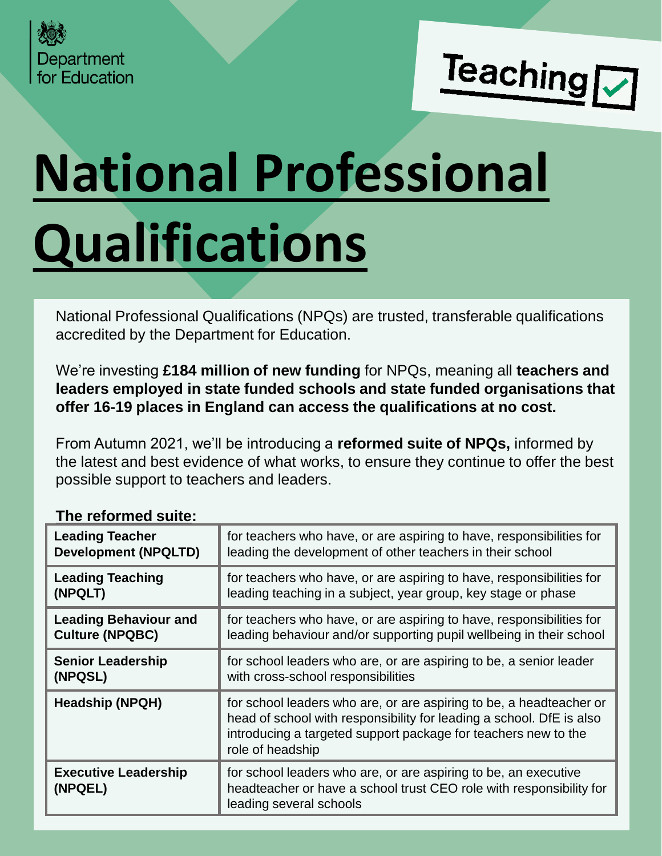



# **National Professional Qualifications**

National Professional Qualifications (NPQs) are trusted, transferable qualifications accredited by the Department for Education.

We're investing **£184 million of new funding** for NPQs, meaning all **teachers and leaders employed in state funded schools and state funded organisations that offer 16-19 places in England can access the qualifications at no cost.**

From Autumn 2021, we'll be introducing a **reformed suite of NPQs,** informed by the latest and best evidence of what works, to ensure they continue to offer the best possible support to teachers and leaders.

| <u>LIIA LAINIIIAN SAIRA</u>            |                                                                                                                                                                                                                                   |
|----------------------------------------|-----------------------------------------------------------------------------------------------------------------------------------------------------------------------------------------------------------------------------------|
| <b>Leading Teacher</b>                 | for teachers who have, or are aspiring to have, responsibilities for                                                                                                                                                              |
| <b>Development (NPQLTD)</b>            | leading the development of other teachers in their school                                                                                                                                                                         |
| <b>Leading Teaching</b>                | for teachers who have, or are aspiring to have, responsibilities for                                                                                                                                                              |
| (NPQLT)                                | leading teaching in a subject, year group, key stage or phase                                                                                                                                                                     |
| <b>Leading Behaviour and</b>           | for teachers who have, or are aspiring to have, responsibilities for                                                                                                                                                              |
| <b>Culture (NPQBC)</b>                 | leading behaviour and/or supporting pupil wellbeing in their school                                                                                                                                                               |
| <b>Senior Leadership</b>               | for school leaders who are, or are aspiring to be, a senior leader                                                                                                                                                                |
| (NPQSL)                                | with cross-school responsibilities                                                                                                                                                                                                |
| <b>Headship (NPQH)</b>                 | for school leaders who are, or are aspiring to be, a headteacher or<br>head of school with responsibility for leading a school. DfE is also<br>introducing a targeted support package for teachers new to the<br>role of headship |
| <b>Executive Leadership</b><br>(NPQEL) | for school leaders who are, or are aspiring to be, an executive<br>headteacher or have a school trust CEO role with responsibility for<br>leading several schools                                                                 |

# **The reformed suite:**